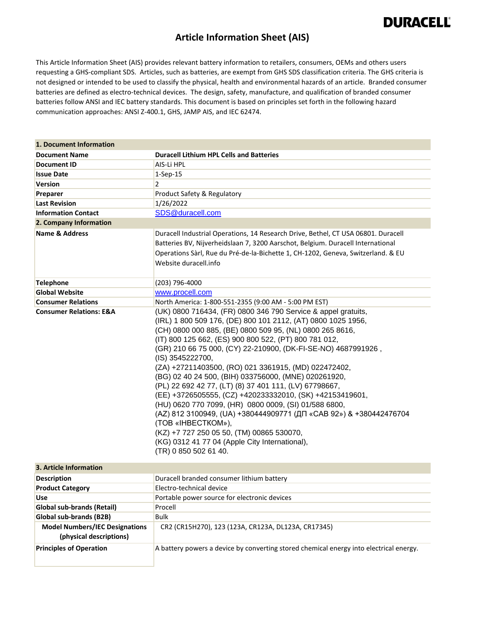#### **Article Information Sheet (AIS)**

This Article Information Sheet (AIS) provides relevant battery information to retailers, consumers, OEMs and others users requesting a GHS-compliant SDS. Articles, such as batteries, are exempt from GHS SDS classification criteria. The GHS criteria is not designed or intended to be used to classify the physical, health and environmental hazards of an article. Branded consumer batteries are defined as electro-technical devices. The design, safety, manufacture, and qualification of branded consumer batteries follow ANSI and IEC battery standards. This document is based on principles set forth in the following hazard communication approaches: ANSI Z-400.1, GHS, JAMP AIS, and IEC 62474.

| 1. Document Information                                          |                                                                                                                                                                                                                                                                                                                                                                                                                                                                                                                                                                                                                                                                                                                                                                                                                                                            |
|------------------------------------------------------------------|------------------------------------------------------------------------------------------------------------------------------------------------------------------------------------------------------------------------------------------------------------------------------------------------------------------------------------------------------------------------------------------------------------------------------------------------------------------------------------------------------------------------------------------------------------------------------------------------------------------------------------------------------------------------------------------------------------------------------------------------------------------------------------------------------------------------------------------------------------|
| <b>Document Name</b>                                             | <b>Duracell Lithium HPL Cells and Batteries</b>                                                                                                                                                                                                                                                                                                                                                                                                                                                                                                                                                                                                                                                                                                                                                                                                            |
| <b>Document ID</b>                                               | AIS-Li HPL                                                                                                                                                                                                                                                                                                                                                                                                                                                                                                                                                                                                                                                                                                                                                                                                                                                 |
| <b>Issue Date</b>                                                | $1-Sep-15$                                                                                                                                                                                                                                                                                                                                                                                                                                                                                                                                                                                                                                                                                                                                                                                                                                                 |
| <b>Version</b>                                                   | 2                                                                                                                                                                                                                                                                                                                                                                                                                                                                                                                                                                                                                                                                                                                                                                                                                                                          |
| Preparer                                                         | Product Safety & Regulatory                                                                                                                                                                                                                                                                                                                                                                                                                                                                                                                                                                                                                                                                                                                                                                                                                                |
| <b>Last Revision</b>                                             | 1/26/2022                                                                                                                                                                                                                                                                                                                                                                                                                                                                                                                                                                                                                                                                                                                                                                                                                                                  |
| <b>Information Contact</b>                                       | SDS@duracell.com                                                                                                                                                                                                                                                                                                                                                                                                                                                                                                                                                                                                                                                                                                                                                                                                                                           |
| 2. Company Information                                           |                                                                                                                                                                                                                                                                                                                                                                                                                                                                                                                                                                                                                                                                                                                                                                                                                                                            |
| <b>Name &amp; Address</b>                                        | Duracell Industrial Operations, 14 Research Drive, Bethel, CT USA 06801. Duracell<br>Batteries BV, Nijverheidslaan 7, 3200 Aarschot, Belgium. Duracell International<br>Operations Sàrl, Rue du Pré-de-la-Bichette 1, CH-1202, Geneva, Switzerland. & EU<br>Website duracell.info                                                                                                                                                                                                                                                                                                                                                                                                                                                                                                                                                                          |
| Telephone                                                        | (203) 796-4000                                                                                                                                                                                                                                                                                                                                                                                                                                                                                                                                                                                                                                                                                                                                                                                                                                             |
| <b>Global Website</b>                                            | www.procell.com                                                                                                                                                                                                                                                                                                                                                                                                                                                                                                                                                                                                                                                                                                                                                                                                                                            |
| <b>Consumer Relations</b>                                        | North America: 1-800-551-2355 (9:00 AM - 5:00 PM EST)                                                                                                                                                                                                                                                                                                                                                                                                                                                                                                                                                                                                                                                                                                                                                                                                      |
| <b>Consumer Relations: E&amp;A</b>                               | (UK) 0800 716434, (FR) 0800 346 790 Service & appel gratuits,<br>(IRL) 1 800 509 176, (DE) 800 101 2112, (AT) 0800 1025 1956,<br>(CH) 0800 000 885, (BE) 0800 509 95, (NL) 0800 265 8616,<br>(IT) 800 125 662, (ES) 900 800 522, (PT) 800 781 012,<br>(GR) 210 66 75 000, (CY) 22-210900, (DK-FI-SE-NO) 4687991926,<br>(IS) 3545222700,<br>(ZA) +27211403500, (RO) 021 3361915, (MD) 022472402,<br>(BG) 02 40 24 500, (BIH) 033756000, (MNE) 020261920,<br>(PL) 22 692 42 77, (LT) (8) 37 401 111, (LV) 67798667,<br>(EE) +3726505555, (CZ) +420233332010, (SK) +42153419601,<br>(HU) 0620 770 7099, (HR) 0800 0009, (SI) 01/588 6800,<br>(AZ) 812 3100949, (UA) +380444909771 (ДП «САВ 92») & +380442476704<br>(TOB «IHBECTKOM»),<br>(KZ) +7 727 250 05 50, (TM) 00865 530070,<br>(KG) 0312 41 77 04 (Apple City International),<br>(TR) 0 850 502 61 40. |
| 3. Article Information                                           |                                                                                                                                                                                                                                                                                                                                                                                                                                                                                                                                                                                                                                                                                                                                                                                                                                                            |
| <b>Description</b>                                               | Duracell branded consumer lithium battery                                                                                                                                                                                                                                                                                                                                                                                                                                                                                                                                                                                                                                                                                                                                                                                                                  |
| <b>Product Category</b>                                          | Electro-technical device                                                                                                                                                                                                                                                                                                                                                                                                                                                                                                                                                                                                                                                                                                                                                                                                                                   |
| use                                                              | Portable power source for electronic devices                                                                                                                                                                                                                                                                                                                                                                                                                                                                                                                                                                                                                                                                                                                                                                                                               |
| Global sub-brands (Retail)                                       | Procell                                                                                                                                                                                                                                                                                                                                                                                                                                                                                                                                                                                                                                                                                                                                                                                                                                                    |
| Global sub-brands (B2B)                                          | <b>Bulk</b>                                                                                                                                                                                                                                                                                                                                                                                                                                                                                                                                                                                                                                                                                                                                                                                                                                                |
| <b>Model Numbers/IEC Designations</b><br>(physical descriptions) | CR2 (CR15H270), 123 (123A, CR123A, DL123A, CR17345)                                                                                                                                                                                                                                                                                                                                                                                                                                                                                                                                                                                                                                                                                                                                                                                                        |
| <b>Principles of Operation</b>                                   | A battery powers a device by converting stored chemical energy into electrical energy.                                                                                                                                                                                                                                                                                                                                                                                                                                                                                                                                                                                                                                                                                                                                                                     |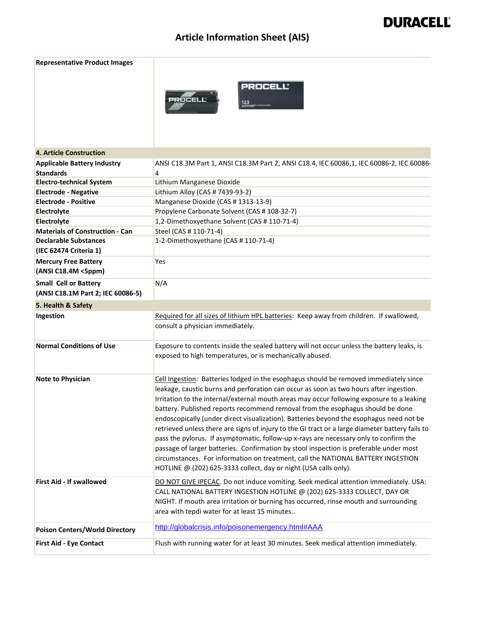| <b>Representative Product Images</b>   |                                                                                                                                                                                                                                                                                                                                                                                                                                                                                                                                                                                                                                                                                                                                                                                                                                                                                                         |
|----------------------------------------|---------------------------------------------------------------------------------------------------------------------------------------------------------------------------------------------------------------------------------------------------------------------------------------------------------------------------------------------------------------------------------------------------------------------------------------------------------------------------------------------------------------------------------------------------------------------------------------------------------------------------------------------------------------------------------------------------------------------------------------------------------------------------------------------------------------------------------------------------------------------------------------------------------|
|                                        | <b>PROCELL®</b><br>PROCELL<br>123                                                                                                                                                                                                                                                                                                                                                                                                                                                                                                                                                                                                                                                                                                                                                                                                                                                                       |
| <b>4. Article Construction</b>         |                                                                                                                                                                                                                                                                                                                                                                                                                                                                                                                                                                                                                                                                                                                                                                                                                                                                                                         |
| <b>Applicable Battery Industry</b>     | ANSI C18.3M Part 1, ANSI C18.3M Part 2, ANSI C18.4, IEC 60086,1, IEC 60086-2, IEC 60086-                                                                                                                                                                                                                                                                                                                                                                                                                                                                                                                                                                                                                                                                                                                                                                                                                |
| <b>Standards</b>                       | 4                                                                                                                                                                                                                                                                                                                                                                                                                                                                                                                                                                                                                                                                                                                                                                                                                                                                                                       |
| <b>Electro-technical System</b>        | Lithium Manganese Dioxide                                                                                                                                                                                                                                                                                                                                                                                                                                                                                                                                                                                                                                                                                                                                                                                                                                                                               |
| <b>Electrode - Negative</b>            | Lithium Alloy (CAS # 7439-93-2)                                                                                                                                                                                                                                                                                                                                                                                                                                                                                                                                                                                                                                                                                                                                                                                                                                                                         |
| <b>Electrode - Positive</b>            | Manganese Dioxide (CAS # 1313-13-9)                                                                                                                                                                                                                                                                                                                                                                                                                                                                                                                                                                                                                                                                                                                                                                                                                                                                     |
| Electrolyte                            | Propylene Carbonate Solvent (CAS # 108-32-7)                                                                                                                                                                                                                                                                                                                                                                                                                                                                                                                                                                                                                                                                                                                                                                                                                                                            |
| Electrolyte                            | 1,2-Dimethoxyethane Solvent (CAS # 110-71-4)                                                                                                                                                                                                                                                                                                                                                                                                                                                                                                                                                                                                                                                                                                                                                                                                                                                            |
| <b>Materials of Construction - Can</b> | Steel (CAS # 110-71-4)                                                                                                                                                                                                                                                                                                                                                                                                                                                                                                                                                                                                                                                                                                                                                                                                                                                                                  |
| <b>Declarable Substances</b>           | 1-2-Dimethoxyethane (CAS #110-71-4)                                                                                                                                                                                                                                                                                                                                                                                                                                                                                                                                                                                                                                                                                                                                                                                                                                                                     |
| (IEC 62474 Criteria 1)                 |                                                                                                                                                                                                                                                                                                                                                                                                                                                                                                                                                                                                                                                                                                                                                                                                                                                                                                         |
| <b>Mercury Free Battery</b>            | Yes                                                                                                                                                                                                                                                                                                                                                                                                                                                                                                                                                                                                                                                                                                                                                                                                                                                                                                     |
| (ANSI C18.4M <5ppm)                    |                                                                                                                                                                                                                                                                                                                                                                                                                                                                                                                                                                                                                                                                                                                                                                                                                                                                                                         |
| <b>Small Cell or Battery</b>           | N/A                                                                                                                                                                                                                                                                                                                                                                                                                                                                                                                                                                                                                                                                                                                                                                                                                                                                                                     |
| (ANSI C18.1M Part 2; IEC 60086-5)      |                                                                                                                                                                                                                                                                                                                                                                                                                                                                                                                                                                                                                                                                                                                                                                                                                                                                                                         |
| 5. Health & Safety                     |                                                                                                                                                                                                                                                                                                                                                                                                                                                                                                                                                                                                                                                                                                                                                                                                                                                                                                         |
| Ingestion                              | Required for all sizes of lithium HPL batteries: Keep away from children. If swallowed,                                                                                                                                                                                                                                                                                                                                                                                                                                                                                                                                                                                                                                                                                                                                                                                                                 |
|                                        | consult a physician immediately.                                                                                                                                                                                                                                                                                                                                                                                                                                                                                                                                                                                                                                                                                                                                                                                                                                                                        |
|                                        |                                                                                                                                                                                                                                                                                                                                                                                                                                                                                                                                                                                                                                                                                                                                                                                                                                                                                                         |
| <b>Normal Conditions of Use</b>        | Exposure to contents inside the sealed battery will not occur unless the battery leaks, is<br>exposed to high temperatures, or is mechanically abused.                                                                                                                                                                                                                                                                                                                                                                                                                                                                                                                                                                                                                                                                                                                                                  |
|                                        |                                                                                                                                                                                                                                                                                                                                                                                                                                                                                                                                                                                                                                                                                                                                                                                                                                                                                                         |
| <b>Note to Physician</b>               | Cell Ingestion: Batteries lodged in the esophagus should be removed immediately since<br>leakage, caustic burns and perforation can occur as soon as two hours after ingestion.<br>Irritation to the internal/external mouth areas may occur following exposure to a leaking<br>battery. Published reports recommend removal from the esophagus should be done<br>endoscopically (under direct visualization). Batteries beyond the esophagus need not be<br>retrieved unless there are signs of injury to the GI tract or a large diameter battery fails to<br>pass the pylorus. If asymptomatic, follow-up x-rays are necessary only to confirm the<br>passage of larger batteries. Confirmation by stool inspection is preferable under most<br>circumstances. For information on treatment, call the NATIONAL BATTERY INGESTION<br>HOTLINE @ (202) 625-3333 collect, day or night (USA calls only). |
| <b>First Aid - If swallowed</b>        | DO NOT GIVE IPECAC. Do not induce vomiting. Seek medical attention immediately. USA:<br>CALL NATIONAL BATTERY INGESTION HOTLINE @ (202) 625-3333 COLLECT, DAY OR<br>NIGHT. If mouth area irritation or burning has occurred, rinse mouth and surrounding<br>area with tepdi water for at least 15 minutes                                                                                                                                                                                                                                                                                                                                                                                                                                                                                                                                                                                               |
| <b>Poison Centers/World Directory</b>  | http://globalcrisis.info/poisonemergency.html#AAA                                                                                                                                                                                                                                                                                                                                                                                                                                                                                                                                                                                                                                                                                                                                                                                                                                                       |
| <b>First Aid - Eye Contact</b>         | Flush with running water for at least 30 minutes. Seek medical attention immediately.                                                                                                                                                                                                                                                                                                                                                                                                                                                                                                                                                                                                                                                                                                                                                                                                                   |
|                                        |                                                                                                                                                                                                                                                                                                                                                                                                                                                                                                                                                                                                                                                                                                                                                                                                                                                                                                         |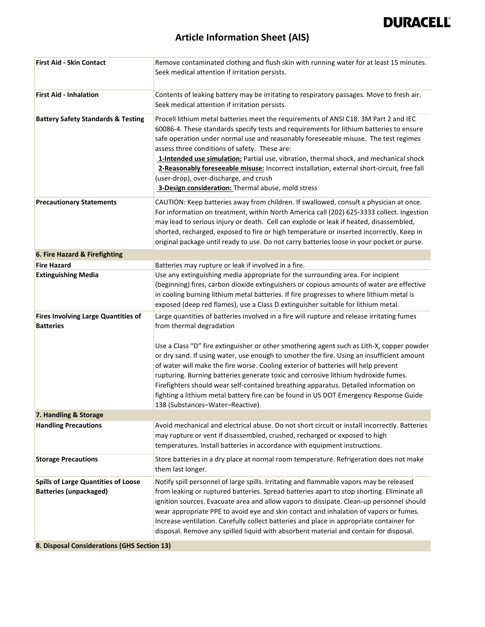

### **Article Information Sheet (AIS)**

| <b>First Aid - Skin Contact</b>                                                                                           | Remove contaminated clothing and flush skin with running water for at least 15 minutes.<br>Seek medical attention if irritation persists.                                                                                                                                                                                                                                                                                                                                                                                                                                                                       |
|---------------------------------------------------------------------------------------------------------------------------|-----------------------------------------------------------------------------------------------------------------------------------------------------------------------------------------------------------------------------------------------------------------------------------------------------------------------------------------------------------------------------------------------------------------------------------------------------------------------------------------------------------------------------------------------------------------------------------------------------------------|
| <b>First Aid - Inhalation</b>                                                                                             | Contents of leaking battery may be irritating to respiratory passages. Move to fresh air.<br>Seek medical attention if irritation persists.                                                                                                                                                                                                                                                                                                                                                                                                                                                                     |
| <b>Battery Safety Standards &amp; Testing</b>                                                                             | Procell lithium metal batteries meet the requirements of ANSI C18. 3M Part 2 and IEC<br>60086-4. These standards specify tests and requirements for lithium batteries to ensure<br>safe operation under normal use and reasonably foreseeable misuse. The test regimes<br>assess three conditions of safety. These are:<br>1-Intended use simulation: Partial use, vibration, thermal shock, and mechanical shock<br>2-Reasonably foreseeable misuse: Incorrect installation, external short-circuit, free fall<br>(user-drop), over-discharge, and crush<br>3-Design consideration: Thermal abuse, mold stress |
| <b>Precautionary Statements</b>                                                                                           | CAUTION: Keep batteries away from children. If swallowed, consult a physician at once.<br>For information on treatment, within North America call (202) 625-3333 collect. Ingestion<br>may lead to serious injury or death. Cell can explode or leak if heated, disassembled,<br>shorted, recharged, exposed to fire or high temperature or inserted incorrectly. Keep in<br>original package until ready to use. Do not carry batteries loose in your pocket or purse.                                                                                                                                         |
| 6. Fire Hazard & Firefighting                                                                                             |                                                                                                                                                                                                                                                                                                                                                                                                                                                                                                                                                                                                                 |
| <b>Fire Hazard</b>                                                                                                        | Batteries may rupture or leak if involved in a fire.                                                                                                                                                                                                                                                                                                                                                                                                                                                                                                                                                            |
| <b>Extinguishing Media</b>                                                                                                | Use any extinguishing media appropriate for the surrounding area. For incipient<br>(beginning) fires, carbon dioxide extinguishers or copious amounts of water are effective<br>in cooling burning lithium metal batteries. If fire progresses to where lithium metal is<br>exposed (deep red flames), use a Class D extinguisher suitable for lithium metal.                                                                                                                                                                                                                                                   |
| <b>Fires Involving Large Quantities of</b><br><b>Batteries</b>                                                            | Large quantities of batteries involved in a fire will rupture and release irritating fumes<br>from thermal degradation                                                                                                                                                                                                                                                                                                                                                                                                                                                                                          |
|                                                                                                                           | Use a Class "D" fire extinguisher or other smothering agent such as Lith-X, copper powder<br>or dry sand. If using water, use enough to smother the fire. Using an insufficient amount<br>of water will make the fire worse. Cooling exterior of batteries will help prevent<br>rupturing. Burning batteries generate toxic and corrosive lithium hydroxide fumes.<br>Firefighters should wear self-contained breathing apparatus. Detailed information on<br>fighting a lithium metal battery fire can be found in US DOT Emergency Response Guide<br>138 (Substances-Water-Reactive).                         |
| 7. Handling & Storage                                                                                                     |                                                                                                                                                                                                                                                                                                                                                                                                                                                                                                                                                                                                                 |
| <b>Handling Precautions</b>                                                                                               | Avoid mechanical and electrical abuse. Do not short circuit or install incorrectly. Batteries<br>may rupture or vent if disassembled, crushed, recharged or exposed to high<br>temperatures. Install batteries in accordance with equipment instructions.                                                                                                                                                                                                                                                                                                                                                       |
| <b>Storage Precautions</b>                                                                                                | Store batteries in a dry place at normal room temperature. Refrigeration does not make<br>them last longer.                                                                                                                                                                                                                                                                                                                                                                                                                                                                                                     |
| <b>Spills of Large Quantities of Loose</b><br><b>Batteries (unpackaged)</b><br>8 Disnosal Considerations (GHS Section 12) | Notify spill personnel of large spills. Irritating and flammable vapors may be released<br>from leaking or ruptured batteries. Spread batteries apart to stop shorting. Eliminate all<br>ignition sources. Evacuate area and allow vapors to dissipate. Clean-up personnel should<br>wear appropriate PPE to avoid eye and skin contact and inhalation of vapors or fumes.<br>Increase ventilation. Carefully collect batteries and place in appropriate container for<br>disposal. Remove any spilled liquid with absorbent material and contain for disposal.                                                 |

**8. Disposal Considerations (GHS Section 13)**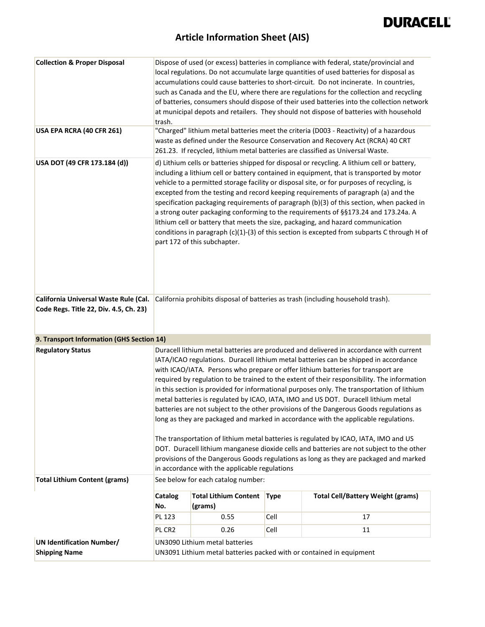| <b>Collection &amp; Proper Disposal</b>                                         | trash.                |                                                                                                        |             | Dispose of used (or excess) batteries in compliance with federal, state/provincial and<br>local regulations. Do not accumulate large quantities of used batteries for disposal as<br>accumulations could cause batteries to short-circuit. Do not incinerate. In countries,<br>such as Canada and the EU, where there are regulations for the collection and recycling<br>of batteries, consumers should dispose of their used batteries into the collection network<br>at municipal depots and retailers. They should not dispose of batteries with household                                                                                                                                                                                                                                                                                                                                                                                                                                                       |
|---------------------------------------------------------------------------------|-----------------------|--------------------------------------------------------------------------------------------------------|-------------|----------------------------------------------------------------------------------------------------------------------------------------------------------------------------------------------------------------------------------------------------------------------------------------------------------------------------------------------------------------------------------------------------------------------------------------------------------------------------------------------------------------------------------------------------------------------------------------------------------------------------------------------------------------------------------------------------------------------------------------------------------------------------------------------------------------------------------------------------------------------------------------------------------------------------------------------------------------------------------------------------------------------|
| USA EPA RCRA (40 CFR 261)                                                       |                       |                                                                                                        |             | "Charged" lithium metal batteries meet the criteria (D003 - Reactivity) of a hazardous<br>waste as defined under the Resource Conservation and Recovery Act (RCRA) 40 CRT<br>261.23. If recycled, lithium metal batteries are classified as Universal Waste.                                                                                                                                                                                                                                                                                                                                                                                                                                                                                                                                                                                                                                                                                                                                                         |
| USA DOT (49 CFR 173.184 (d))                                                    |                       | part 172 of this subchapter.                                                                           |             | d) Lithium cells or batteries shipped for disposal or recycling. A lithium cell or battery,<br>including a lithium cell or battery contained in equipment, that is transported by motor<br>vehicle to a permitted storage facility or disposal site, or for purposes of recycling, is<br>excepted from the testing and record keeping requirements of paragraph (a) and the<br>specification packaging requirements of paragraph (b)(3) of this section, when packed in<br>a strong outer packaging conforming to the requirements of §§173.24 and 173.24a. A<br>lithium cell or battery that meets the size, packaging, and hazard communication<br>conditions in paragraph (c)(1)-(3) of this section is excepted from subparts C through H of                                                                                                                                                                                                                                                                     |
| California Universal Waste Rule (Cal.<br>Code Regs. Title 22, Div. 4.5, Ch. 23) |                       |                                                                                                        |             | California prohibits disposal of batteries as trash (including household trash).                                                                                                                                                                                                                                                                                                                                                                                                                                                                                                                                                                                                                                                                                                                                                                                                                                                                                                                                     |
| 9. Transport Information (GHS Section 14)                                       |                       |                                                                                                        |             |                                                                                                                                                                                                                                                                                                                                                                                                                                                                                                                                                                                                                                                                                                                                                                                                                                                                                                                                                                                                                      |
| <b>Regulatory Status</b>                                                        |                       | in accordance with the applicable regulations                                                          |             | Duracell lithium metal batteries are produced and delivered in accordance with current<br>IATA/ICAO regulations. Duracell lithium metal batteries can be shipped in accordance<br>with ICAO/IATA. Persons who prepare or offer lithium batteries for transport are<br>required by regulation to be trained to the extent of their responsibility. The information<br>in this section is provided for informational purposes only. The transportation of lithium<br>metal batteries is regulated by ICAO, IATA, IMO and US DOT. Duracell lithium metal<br>batteries are not subject to the other provisions of the Dangerous Goods regulations as<br>long as they are packaged and marked in accordance with the applicable regulations.<br>The transportation of lithium metal batteries is regulated by ICAO, IATA, IMO and US<br>DOT. Duracell lithium manganese dioxide cells and batteries are not subject to the other<br>provisions of the Dangerous Goods regulations as long as they are packaged and marked |
| <b>Total Lithium Content (grams)</b>                                            |                       | See below for each catalog number:                                                                     |             |                                                                                                                                                                                                                                                                                                                                                                                                                                                                                                                                                                                                                                                                                                                                                                                                                                                                                                                                                                                                                      |
|                                                                                 | <b>Catalog</b><br>No. | <b>Total Lithium Content</b><br>(grams)                                                                | <b>Type</b> | <b>Total Cell/Battery Weight (grams)</b>                                                                                                                                                                                                                                                                                                                                                                                                                                                                                                                                                                                                                                                                                                                                                                                                                                                                                                                                                                             |
|                                                                                 | PL 123                | 0.55                                                                                                   | Cell        | 17                                                                                                                                                                                                                                                                                                                                                                                                                                                                                                                                                                                                                                                                                                                                                                                                                                                                                                                                                                                                                   |
|                                                                                 | PL CR2                | 0.26                                                                                                   | Cell        | 11                                                                                                                                                                                                                                                                                                                                                                                                                                                                                                                                                                                                                                                                                                                                                                                                                                                                                                                                                                                                                   |
| <b>UN Identification Number/</b><br><b>Shipping Name</b>                        |                       | UN3090 Lithium metal batteries<br>UN3091 Lithium metal batteries packed with or contained in equipment |             |                                                                                                                                                                                                                                                                                                                                                                                                                                                                                                                                                                                                                                                                                                                                                                                                                                                                                                                                                                                                                      |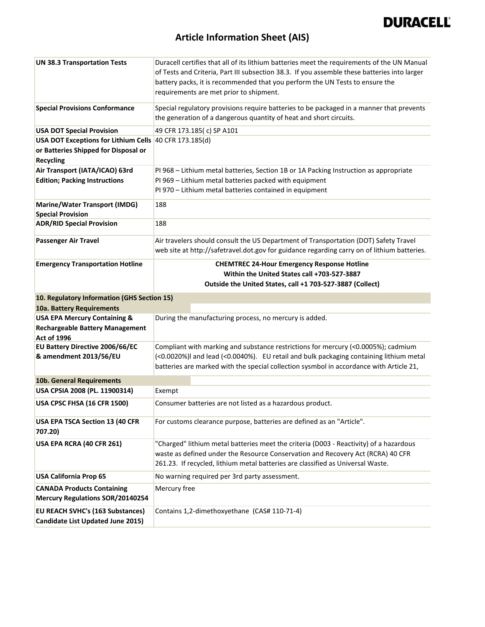

| <b>UN 38.3 Transportation Tests</b>                                          | Duracell certifies that all of its lithium batteries meet the requirements of the UN Manual<br>of Tests and Criteria, Part III subsection 38.3. If you assemble these batteries into larger<br>battery packs, it is recommended that you perform the UN Tests to ensure the<br>requirements are met prior to shipment. |  |  |
|------------------------------------------------------------------------------|------------------------------------------------------------------------------------------------------------------------------------------------------------------------------------------------------------------------------------------------------------------------------------------------------------------------|--|--|
| <b>Special Provisions Conformance</b>                                        | Special regulatory provisions require batteries to be packaged in a manner that prevents<br>the generation of a dangerous quantity of heat and short circuits.                                                                                                                                                         |  |  |
| <b>USA DOT Special Provision</b>                                             | 49 CFR 173.185(c) SP A101                                                                                                                                                                                                                                                                                              |  |  |
| USA DOT Exceptions for Lithium Cells 40 CFR 173.185(d)                       |                                                                                                                                                                                                                                                                                                                        |  |  |
| or Batteries Shipped for Disposal or                                         |                                                                                                                                                                                                                                                                                                                        |  |  |
| <b>Recycling</b>                                                             |                                                                                                                                                                                                                                                                                                                        |  |  |
| Air Transport (IATA/ICAO) 63rd                                               | PI 968 - Lithium metal batteries, Section 1B or 1A Packing Instruction as appropriate                                                                                                                                                                                                                                  |  |  |
| <b>Edition; Packing Instructions</b>                                         | PI 969 - Lithium metal batteries packed with equipment                                                                                                                                                                                                                                                                 |  |  |
|                                                                              | PI 970 - Lithium metal batteries contained in equipment                                                                                                                                                                                                                                                                |  |  |
| Marine/Water Transport (IMDG)                                                | 188                                                                                                                                                                                                                                                                                                                    |  |  |
| <b>Special Provision</b>                                                     |                                                                                                                                                                                                                                                                                                                        |  |  |
| <b>ADR/RID Special Provision</b>                                             | 188                                                                                                                                                                                                                                                                                                                    |  |  |
| <b>Passenger Air Travel</b>                                                  | Air travelers should consult the US Department of Transportation (DOT) Safety Travel                                                                                                                                                                                                                                   |  |  |
|                                                                              | web site at http://safetravel.dot.gov for guidance regarding carry on of lithium batteries.                                                                                                                                                                                                                            |  |  |
| <b>Emergency Transportation Hotline</b>                                      | <b>CHEMTREC 24-Hour Emergency Response Hotline</b>                                                                                                                                                                                                                                                                     |  |  |
|                                                                              | Within the United States call +703-527-3887                                                                                                                                                                                                                                                                            |  |  |
|                                                                              | Outside the United States, call +1 703-527-3887 (Collect)                                                                                                                                                                                                                                                              |  |  |
| 10. Regulatory Information (GHS Section 15)                                  |                                                                                                                                                                                                                                                                                                                        |  |  |
| 10a. Battery Requirements                                                    |                                                                                                                                                                                                                                                                                                                        |  |  |
| <b>USA EPA Mercury Containing &amp;</b>                                      | During the manufacturing process, no mercury is added.                                                                                                                                                                                                                                                                 |  |  |
| <b>Rechargeable Battery Management</b>                                       |                                                                                                                                                                                                                                                                                                                        |  |  |
| <b>Act of 1996</b>                                                           |                                                                                                                                                                                                                                                                                                                        |  |  |
| EU Battery Directive 2006/66/EC                                              | Compliant with marking and substance restrictions for mercury (<0.0005%); cadmium                                                                                                                                                                                                                                      |  |  |
| & amendment 2013/56/EU                                                       | (<0.0020%)I and lead (<0.0040%). EU retail and bulk packaging containing lithium metal                                                                                                                                                                                                                                 |  |  |
|                                                                              | batteries are marked with the special collection sysmbol in accordance with Article 21,                                                                                                                                                                                                                                |  |  |
| 10b. General Requirements                                                    |                                                                                                                                                                                                                                                                                                                        |  |  |
| USA CPSIA 2008 (PL. 11900314)                                                | Exempt                                                                                                                                                                                                                                                                                                                 |  |  |
| USA CPSC FHSA (16 CFR 1500)                                                  | Consumer batteries are not listed as a hazardous product.                                                                                                                                                                                                                                                              |  |  |
| USA EPA TSCA Section 13 (40 CFR<br>707.20)                                   | For customs clearance purpose, batteries are defined as an "Article".                                                                                                                                                                                                                                                  |  |  |
| USA EPA RCRA (40 CFR 261)                                                    | "Charged" lithium metal batteries meet the criteria (D003 - Reactivity) of a hazardous<br>waste as defined under the Resource Conservation and Recovery Act (RCRA) 40 CFR<br>261.23. If recycled, lithium metal batteries are classified as Universal Waste.                                                           |  |  |
| <b>USA California Prop 65</b>                                                | No warning required per 3rd party assessment.                                                                                                                                                                                                                                                                          |  |  |
|                                                                              |                                                                                                                                                                                                                                                                                                                        |  |  |
| <b>CANADA Products Containing</b><br><b>Mercury Regulations SOR/20140254</b> | Mercury free                                                                                                                                                                                                                                                                                                           |  |  |
| EU REACH SVHC's (163 Substances)<br>Candidate List Updated June 2015)        | Contains 1,2-dimethoxyethane (CAS# 110-71-4)                                                                                                                                                                                                                                                                           |  |  |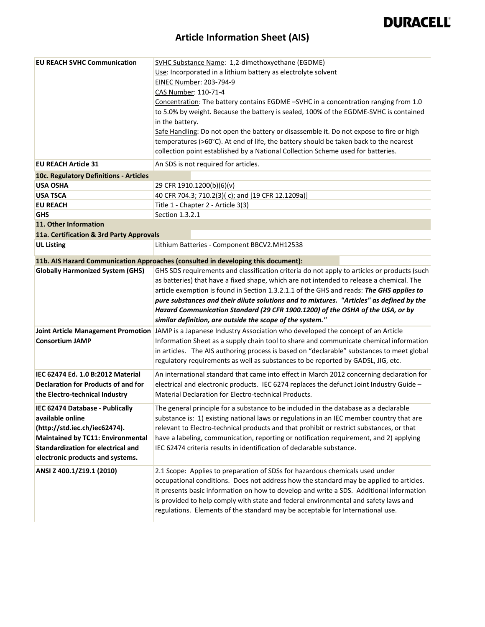| <b>EU REACH SVHC Communication</b>         | SVHC Substance Name: 1,2-dimethoxyethane (EGDME)                                                                                                 |
|--------------------------------------------|--------------------------------------------------------------------------------------------------------------------------------------------------|
|                                            | Use: Incorporated in a lithium battery as electrolyte solvent                                                                                    |
|                                            | EINEC Number: 203-794-9                                                                                                                          |
|                                            | CAS Number: 110-71-4                                                                                                                             |
|                                            | Concentration: The battery contains EGDME -SVHC in a concentration ranging from 1.0                                                              |
|                                            | to 5.0% by weight. Because the battery is sealed, 100% of the EGDME-SVHC is contained                                                            |
|                                            | in the battery.                                                                                                                                  |
|                                            | Safe Handling: Do not open the battery or disassemble it. Do not expose to fire or high                                                          |
|                                            | temperatures (>60°C). At end of life, the battery should be taken back to the nearest                                                            |
|                                            | collection point established by a National Collection Scheme used for batteries.                                                                 |
| <b>EU REACH Article 31</b>                 | An SDS is not required for articles.                                                                                                             |
| 10c. Regulatory Definitions - Articles     |                                                                                                                                                  |
| <b>USA OSHA</b>                            | 29 CFR 1910.1200(b)(6)(v)                                                                                                                        |
| <b>USA TSCA</b>                            | 40 CFR 704.3; 710.2(3)(c); and [19 CFR 12.1209a)]                                                                                                |
| <b>EU REACH</b>                            | Title 1 - Chapter 2 - Article 3(3)                                                                                                               |
| GHS                                        | Section 1.3.2.1                                                                                                                                  |
| 11. Other Information                      |                                                                                                                                                  |
| 11a. Certification & 3rd Party Approvals   |                                                                                                                                                  |
| <b>UL Listing</b>                          | Lithium Batteries - Component BBCV2.MH12538                                                                                                      |
|                                            | 11b. AIS Hazard Communication Approaches (consulted in developing this document):                                                                |
| <b>Globally Harmonized System (GHS)</b>    | GHS SDS requirements and classification criteria do not apply to articles or products (such                                                      |
|                                            | as batteries) that have a fixed shape, which are not intended to release a chemical. The                                                         |
|                                            | article exemption is found in Section 1.3.2.1.1 of the GHS and reads: The GHS applies to                                                         |
|                                            |                                                                                                                                                  |
|                                            | pure substances and their dilute solutions and to mixtures. "Articles" as defined by the                                                         |
|                                            | Hazard Communication Standard (29 CFR 1900.1200) of the OSHA of the USA, or by                                                                   |
|                                            | similar definition, are outside the scope of the system."                                                                                        |
|                                            | Joint Article Management Promotion JAMP is a Japanese Industry Association who developed the concept of an Article                               |
| <b>Consortium JAMP</b>                     | Information Sheet as a supply chain tool to share and communicate chemical information                                                           |
|                                            | in articles. The AIS authoring process is based on "declarable" substances to meet global                                                        |
|                                            | regulatory requirements as well as substances to be reported by GADSL, JIG, etc.                                                                 |
| IEC 62474 Ed. 1.0 B:2012 Material          |                                                                                                                                                  |
|                                            | An international standard that came into effect in March 2012 concerning declaration for                                                         |
| <b>Declaration for Products of and for</b> | electrical and electronic products. IEC 6274 replaces the defunct Joint Industry Guide -<br>Material Declaration for Electro-technical Products. |
| the Electro-technical Industry             |                                                                                                                                                  |
| IEC 62474 Database - Publically            | The general principle for a substance to be included in the database as a declarable                                                             |
| available online                           | substance is: 1) existing national laws or regulations in an IEC member country that are                                                         |
| (http://std.iec.ch/iec62474).              | relevant to Electro-technical products and that prohibit or restrict substances, or that                                                         |
| <b>Maintained by TC11: Environmental</b>   | have a labeling, communication, reporting or notification requirement, and 2) applying                                                           |
| <b>Standardization for electrical and</b>  | IEC 62474 criteria results in identification of declarable substance.                                                                            |
| electronic products and systems.           |                                                                                                                                                  |
| ANSI Z 400.1/Z19.1 (2010)                  | 2.1 Scope: Applies to preparation of SDSs for hazardous chemicals used under                                                                     |
|                                            | occupational conditions. Does not address how the standard may be applied to articles.                                                           |
|                                            | It presents basic information on how to develop and write a SDS. Additional information                                                          |
|                                            | is provided to help comply with state and federal environmental and safety laws and                                                              |
|                                            | regulations. Elements of the standard may be acceptable for International use.                                                                   |